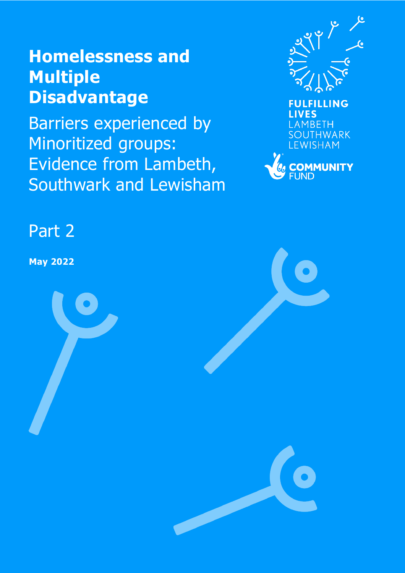# **Homelessness and Multiple Disadvantage**

Barriers experienced by Minoritized groups: Evidence from Lambeth, Southwark and Lewisham





## Part 2

**May 2022**

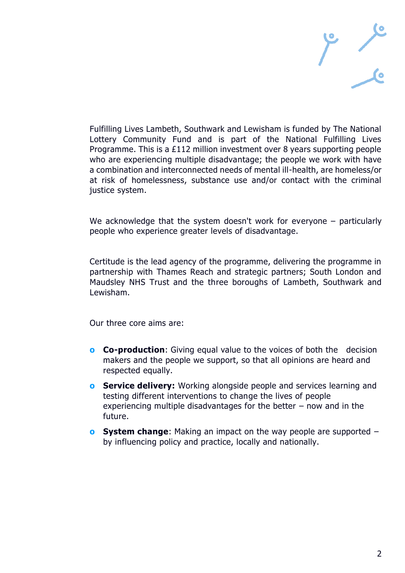

Fulfilling Lives Lambeth, Southwark and Lewisham is funded by The National Lottery Community Fund and is part of the National Fulfilling Lives Programme. This is a £112 million investment over 8 years supporting people who are experiencing multiple disadvantage; the people we work with have a combination and interconnected needs of mental ill-health, are homeless/or at risk of homelessness, substance use and/or contact with the criminal justice system.

We acknowledge that the system doesn't work for everyone – particularly people who experience greater levels of disadvantage.

Certitude is the lead agency of the programme, delivering the programme in partnership with Thames Reach and strategic partners; South London and Maudsley NHS Trust and the three boroughs of Lambeth, Southwark and Lewisham.

Our three core aims are:

- **o Co-production**: Giving equal value to the voices of both the decision makers and the people we support, so that all opinions are heard and respected equally.
- **o Service delivery:** Working alongside people and services learning and testing different interventions to change the lives of people experiencing multiple disadvantages for the better  $-$  now and in the future.
- **o System change**: Making an impact on the way people are supported by influencing policy and practice, locally and nationally.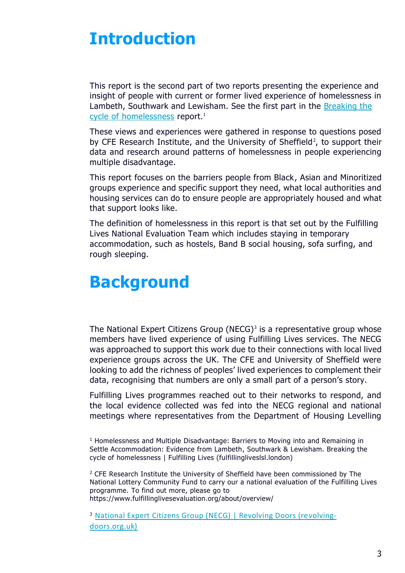## **Introduction**

This report is the second part of two reports presenting the experience and insight of people with current or former lived experience of homelessness in Lambeth, Southwark and Lewisham. See the first part in the [Breaking the](https://fulfillingliveslsl.london/breaking-the-cycle-of-homelessness/)  <u>cycle of [homelessness](https://fulfillingliveslsl.london/breaking-the-cycle-of-homelessness/)</u> report.<sup>1</sup>

These views and experiences were gathered in response to questions posed by CFE Research Institute, and the University of Sheffield<sup>2</sup>, to support their data and research around patterns of homelessness in people experiencing multiple disadvantage.

This report focuses on the barriers people from Black, Asian and Minoritized groups experience and specific support they need, what local authorities and housing services can do to ensure people are appropriately housed and what that support looks like.

The definition of homelessness in this report is that set out by the Fulfilling Lives National Evaluation Team which includes staying in temporary accommodation, such as hostels, Band B social housing, sofa surfing, and rough sleeping.

## **Background**

The National Expert Citizens Group (NECG)<sup>3</sup> is a representative group whose members have lived experience of using Fulfilling Lives services. The NECG was approached to support this work due to their connections with local lived experience groups across the UK. The CFE and University of Sheffield were looking to add the richness of peoples' lived experiences to complement their data, recognising that numbers are only a small part of a person's story.

Fulfilling Lives programmes reached out to their networks to respond, and the local evidence collected was fed into the NECG regional and national meetings where representatives from the Department of Housing Levelling

 $<sup>1</sup>$  Homelessness and Multiple Disadvantage: Barriers to Moving into and Remaining in</sup> Settle Accommodation: Evidence from Lambeth, Southwark & Lewisham. Breaking the cycle of homelessness | Fulfilling Lives (fulfillingliveslsl.london)

<sup>2</sup> CFE Research Institute the University of Sheffield have been commissioned by The National Lottery Community Fund to carry our a national evaluation of the Fulfilling Lives programme. To find out more, please go to https://www.fulfillinglivesevaluation.org/about/overview/

<sup>3</sup> [National Expert Citizens Group \(NECG\) | Revolving Doors \(revolving](http://www.revolving-doors.org.uk/involvement/our-involvement-work/national-expert-citizens-group-necg)[doors.org.uk\)](http://www.revolving-doors.org.uk/involvement/our-involvement-work/national-expert-citizens-group-necg)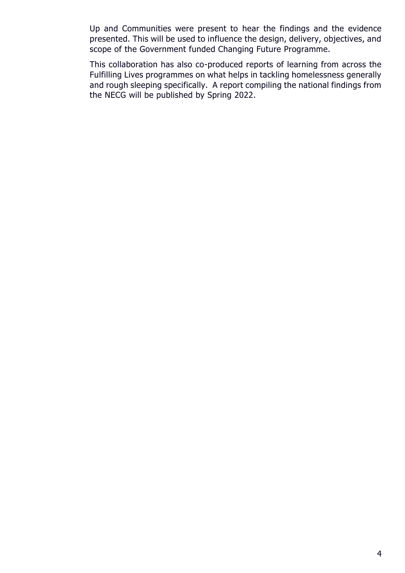Up and Communities were present to hear the findings and the evidence presented. This will be used to influence the design, delivery, objectives, and scope of the Government funded Changing Future Programme.

This collaboration has also co-produced reports of learning from across the Fulfilling Lives programmes on what helps in tackling homelessness generally and rough sleeping specifically. A report compiling the national findings from the NECG will be published by Spring 2022.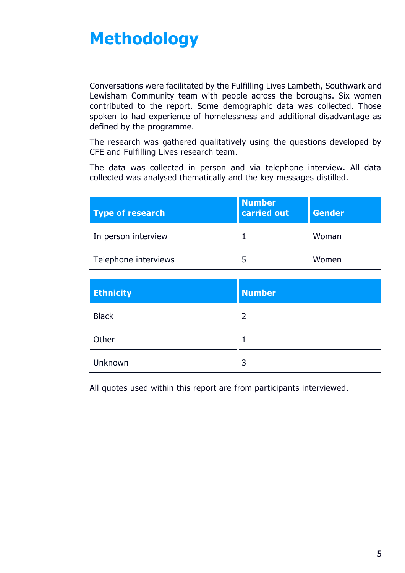# **Methodology**

Conversations were facilitated by the Fulfilling Lives Lambeth, Southwark and Lewisham Community team with people across the boroughs. Six women contributed to the report. Some demographic data was collected. Those spoken to had experience of homelessness and additional disadvantage as defined by the programme.

The research was gathered qualitatively using the questions developed by CFE and Fulfilling Lives research team.

The data was collected in person and via telephone interview. All data collected was analysed thematically and the key messages distilled.

| <b>Number</b><br>carried out | <b>Gender</b> |
|------------------------------|---------------|
|                              | Woman         |
|                              | Women         |
|                              |               |

| <b>Ethnicity</b> | <b>Number</b> |
|------------------|---------------|
| <b>Black</b>     | 2             |
| Other            | 1             |
| Unknown          | 3             |

All quotes used within this report are from participants interviewed.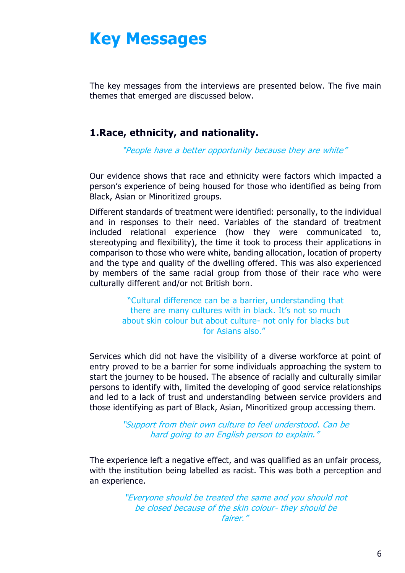## **Key Messages**

The key messages from the interviews are presented below. The five main themes that emerged are discussed below.

### **1.Race, ethnicity, and nationality.**

"People have a better opportunity because they are white"

Our evidence shows that race and ethnicity were factors which impacted a person's experience of being housed for those who identified as being from Black, Asian or Minoritized groups.

Different standards of treatment were identified: personally, to the individual and in responses to their need. Variables of the standard of treatment included relational experience (how they were communicated to, stereotyping and flexibility), the time it took to process their applications in comparison to those who were white, banding allocation, location of property and the type and quality of the dwelling offered. This was also experienced by members of the same racial group from those of their race who were culturally different and/or not British born.

> "Cultural difference can be a barrier, understanding that there are many cultures with in black. It's not so much about skin colour but about culture- not only for blacks but for Asians also."

Services which did not have the visibility of a diverse workforce at point of entry proved to be a barrier for some individuals approaching the system to start the journey to be housed. The absence of racially and culturally similar persons to identify with, limited the developing of good service relationships and led to a lack of trust and understanding between service providers and those identifying as part of Black, Asian, Minoritized group accessing them.

> "Support from their own culture to feel understood. Can be hard going to an English person to explain."

The experience left a negative effect, and was qualified as an unfair process, with the institution being labelled as racist. This was both a perception and an experience.

> "Everyone should be treated the same and you should not be closed because of the skin colour- they should be fairer."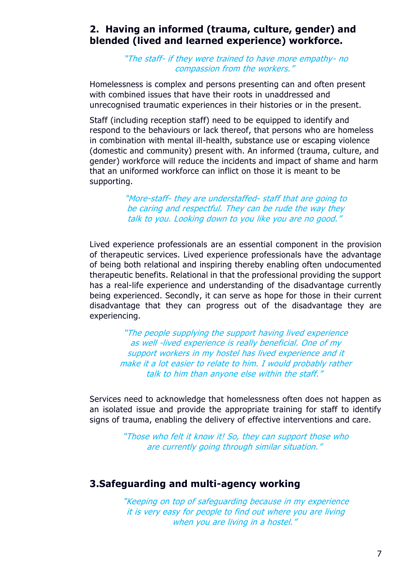### **2. Having an informed (trauma, culture, gender) and blended (lived and learned experience) workforce.**

"The staff- if they were trained to have more empathy- no compassion from the workers."

Homelessness is complex and persons presenting can and often present with combined issues that have their roots in unaddressed and unrecognised traumatic experiences in their histories or in the present.

Staff (including reception staff) need to be equipped to identify and respond to the behaviours or lack thereof, that persons who are homeless in combination with mental ill-health, substance use or escaping violence (domestic and community) present with. An informed (trauma, culture, and gender) workforce will reduce the incidents and impact of shame and harm that an uniformed workforce can inflict on those it is meant to be supporting.

> "More-staff- they are understaffed- staff that are going to be caring and respectful. They can be rude the way they talk to you. Looking down to you like you are no good."

Lived experience professionals are an essential component in the provision of therapeutic services. Lived experience professionals have the advantage of being both relational and inspiring thereby enabling often undocumented therapeutic benefits. Relational in that the professional providing the support has a real-life experience and understanding of the disadvantage currently being experienced. Secondly, it can serve as hope for those in their current disadvantage that they can progress out of the disadvantage they are experiencing.

> "The people supplying the support having lived experience as well -lived experience is really beneficial. One of my support workers in my hostel has lived experience and it make it a lot easier to relate to him. I would probably rather talk to him than anyone else within the staff."

Services need to acknowledge that homelessness often does not happen as an isolated issue and provide the appropriate training for staff to identify signs of trauma, enabling the delivery of effective interventions and care.

> "Those who felt it know it! So, they can support those who are currently going through similar situation."

#### **3.Safeguarding and multi-agency working**

"Keeping on top of safeguarding because in my experience it is very easy for people to find out where you are living when you are living in a hostel."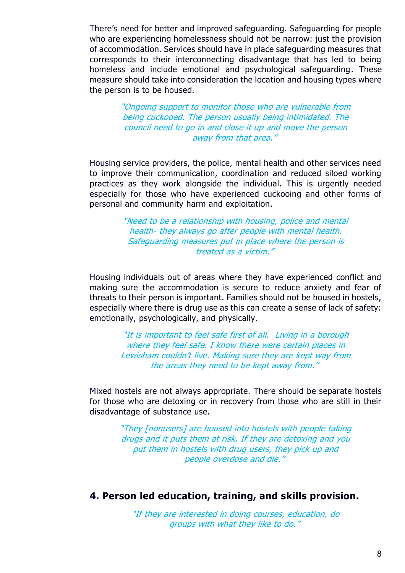There's need for better and improved safeguarding. Safeguarding for people who are experiencing homelessness should not be narrow: just the provision of accommodation. Services should have in place safeguarding measures that corresponds to their interconnecting disadvantage that has led to being homeless and include emotional and psychological safeguarding. These measure should take into consideration the location and housing types where the person is to be housed.

> "Ongoing support to monitor those who are vulnerable from being cuckooed. The person usually being intimidated. The council need to go in and close it up and move the person away from that area."

Housing service providers, the police, mental health and other services need to improve their communication, coordination and reduced siloed working practices as they work alongside the individual. This is urgently needed especially for those who have experienced cuckooing and other forms of personal and community harm and exploitation.

> "Need to be a relationship with housing, police and mental health- they always go after people with mental health. Safeguarding measures put in place where the person is treated as a victim."

Housing individuals out of areas where they have experienced conflict and making sure the accommodation is secure to reduce anxiety and fear of threats to their person is important. Families should not be housed in hostels, especially where there is drug use as this can create a sense of lack of safety: emotionally, psychologically, and physically.

> "It is important to feel safe first of all. Living in a borough where they feel safe. I know there were certain places in Lewisham couldn't live. Making sure they are kept way from the areas they need to be kept away from."

Mixed hostels are not always appropriate. There should be separate hostels for those who are detoxing or in recovery from those who are still in their disadvantage of substance use.

> "They [nonusers] are housed into hostels with people taking drugs and it puts them at risk. If they are detoxing and you put them in hostels with drug users, they pick up and people overdose and die."

#### **4. Person led education, training, and skills provision.**

"If they are interested in doing courses, education, do groups with what they like to do."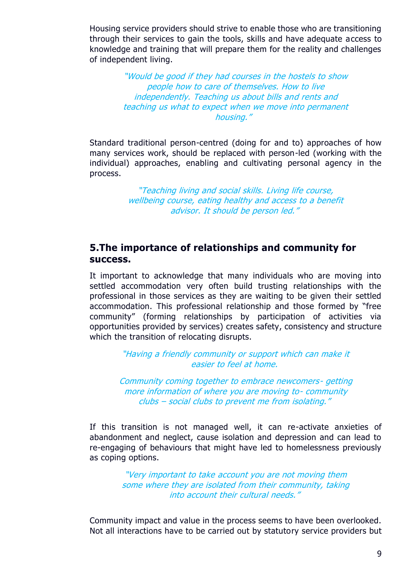Housing service providers should strive to enable those who are transitioning through their services to gain the tools, skills and have adequate access to knowledge and training that will prepare them for the reality and challenges of independent living.

> "Would be good if they had courses in the hostels to show people how to care of themselves. How to live independently. Teaching us about bills and rents and teaching us what to expect when we move into permanent housing."

Standard traditional person-centred (doing for and to) approaches of how many services work, should be replaced with person-led (working with the individual) approaches, enabling and cultivating personal agency in the process.

> "Teaching living and social skills. Living life course, wellbeing course, eating healthy and access to a benefit advisor. It should be person led."

#### **5.The importance of relationships and community for success.**

It important to acknowledge that many individuals who are moving into settled accommodation very often build trusting relationships with the professional in those services as they are waiting to be given their settled accommodation. This professional relationship and those formed by "free community" (forming relationships by participation of activities via opportunities provided by services) creates safety, consistency and structure which the transition of relocating disrupts.

> "Having a friendly community or support which can make it easier to feel at home.

Community coming together to embrace newcomers- getting more information of where you are moving to- community clubs – social clubs to prevent me from isolating."

If this transition is not managed well, it can re-activate anxieties of abandonment and neglect, cause isolation and depression and can lead to re-engaging of behaviours that might have led to homelessness previously as coping options.

> "Very important to take account you are not moving them some where they are isolated from their community, taking into account their cultural needs."

Community impact and value in the process seems to have been overlooked. Not all interactions have to be carried out by statutory service providers but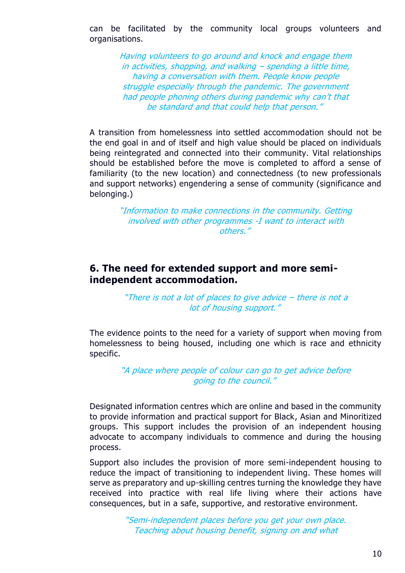can be facilitated by the community local groups volunteers and organisations.

> Having volunteers to go around and knock and engage them in activities, shopping, and walking – spending a little time, having a conversation with them. People know people struggle especially through the pandemic. The government had people phoning others during pandemic why can't that be standard and that could help that person."

A transition from homelessness into settled accommodation should not be the end goal in and of itself and high value should be placed on individuals being reintegrated and connected into their community. Vital relationships should be established before the move is completed to afford a sense of familiarity (to the new location) and connectedness (to new professionals and support networks) engendering a sense of community (significance and belonging.)

> "Information to make connections in the community. Getting involved with other programmes -I want to interact with others."

#### **6. The need for extended support and more semiindependent accommodation.**

#### "There is not a lot of places to give advice – there is not a lot of housing support."

The evidence points to the need for a variety of support when moving from homelessness to being housed, including one which is race and ethnicity specific.

> "A place where people of colour can go to get advice before going to the council."

Designated information centres which are online and based in the community to provide information and practical support for Black, Asian and Minoritized groups. This support includes the provision of an independent housing advocate to accompany individuals to commence and during the housing process.

Support also includes the provision of more semi-independent housing to reduce the impact of transitioning to independent living. These homes will serve as preparatory and up-skilling centres turning the knowledge they have received into practice with real life living where their actions have consequences, but in a safe, supportive, and restorative environment.

> "Semi-independent places before you get your own place. Teaching about housing benefit, signing on and what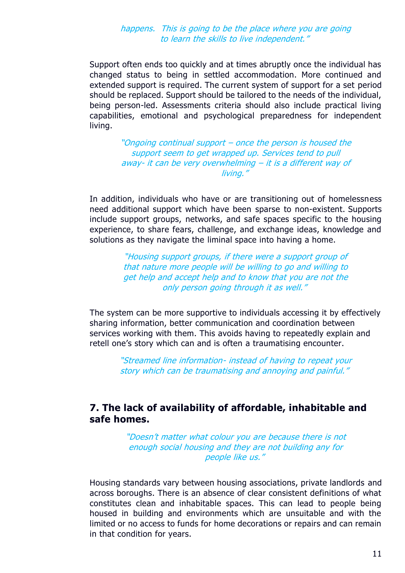#### happens. This is going to be the place where you are going to learn the skills to live independent."

Support often ends too quickly and at times abruptly once the individual has changed status to being in settled accommodation. More continued and extended support is required. The current system of support for a set period should be replaced. Support should be tailored to the needs of the individual, being person-led. Assessments criteria should also include practical living capabilities, emotional and psychological preparedness for independent living.

> "Ongoing continual support – once the person is housed the support seem to get wrapped up. Services tend to pull away- it can be very overwhelming – it is a different way of living."

In addition, individuals who have or are transitioning out of homelessness need additional support which have been sparse to non-existent. Supports include support groups, networks, and safe spaces specific to the housing experience, to share fears, challenge, and exchange ideas, knowledge and solutions as they navigate the liminal space into having a home.

> "Housing support groups, if there were a support group of that nature more people will be willing to go and willing to get help and accept help and to know that you are not the only person going through it as well."

The system can be more supportive to individuals accessing it by effectively sharing information, better communication and coordination between services working with them. This avoids having to repeatedly explain and retell one's story which can and is often a traumatising encounter.

> "Streamed line information- instead of having to repeat your story which can be traumatising and annoying and painful."

#### **7. The lack of availability of affordable, inhabitable and safe homes.**

"Doesn't matter what colour you are because there is not enough social housing and they are not building any for people like us."

Housing standards vary between housing associations, private landlords and across boroughs. There is an absence of clear consistent definitions of what constitutes clean and inhabitable spaces. This can lead to people being housed in building and environments which are unsuitable and with the limited or no access to funds for home decorations or repairs and can remain in that condition for years.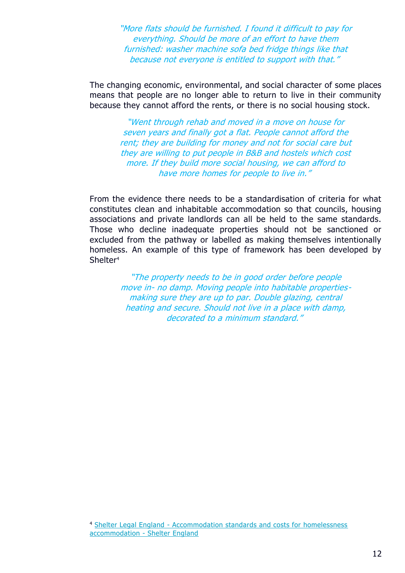"More flats should be furnished. I found it difficult to pay for everything. Should be more of an effort to have them furnished: washer machine sofa bed fridge things like that because not everyone is entitled to support with that."

The changing economic, environmental, and social character of some places means that people are no longer able to return to live in their community because they cannot afford the rents, or there is no social housing stock.

> "Went through rehab and moved in a move on house for seven years and finally got a flat. People cannot afford the rent; they are building for money and not for social care but they are willing to put people in B&B and hostels which cost more. If they build more social housing, we can afford to have more homes for people to live in."

From the evidence there needs to be a standardisation of criteria for what constitutes clean and inhabitable accommodation so that councils, housing associations and private landlords can all be held to the same standards. Those who decline inadequate properties should not be sanctioned or excluded from the pathway or labelled as making themselves intentionally homeless. An example of this type of framework has been developed by Shelter<sup>4</sup>

> "The property needs to be in good order before people move in- no damp. Moving people into habitable propertiesmaking sure they are up to par. Double glazing, central heating and secure. Should not live in a place with damp, decorated to a minimum standard."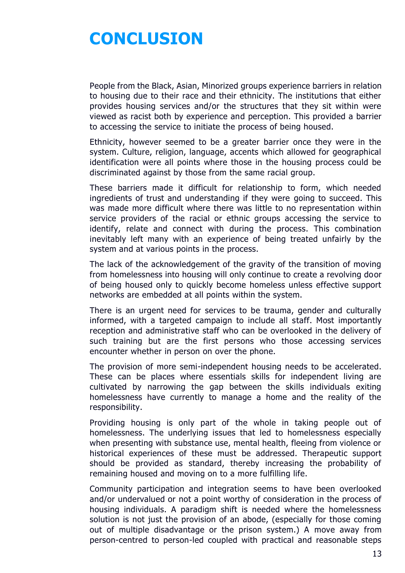# **CONCLUSION**

People from the Black, Asian, Minorized groups experience barriers in relation to housing due to their race and their ethnicity. The institutions that either provides housing services and/or the structures that they sit within were viewed as racist both by experience and perception. This provided a barrier to accessing the service to initiate the process of being housed.

Ethnicity, however seemed to be a greater barrier once they were in the system. Culture, religion, language, accents which allowed for geographical identification were all points where those in the housing process could be discriminated against by those from the same racial group.

These barriers made it difficult for relationship to form, which needed ingredients of trust and understanding if they were going to succeed. This was made more difficult where there was little to no representation within service providers of the racial or ethnic groups accessing the service to identify, relate and connect with during the process. This combination inevitably left many with an experience of being treated unfairly by the system and at various points in the process.

The lack of the acknowledgement of the gravity of the transition of moving from homelessness into housing will only continue to create a revolving door of being housed only to quickly become homeless unless effective support networks are embedded at all points within the system.

There is an urgent need for services to be trauma, gender and culturally informed, with a targeted campaign to include all staff. Most importantly reception and administrative staff who can be overlooked in the delivery of such training but are the first persons who those accessing services encounter whether in person on over the phone.

The provision of more semi-independent housing needs to be accelerated. These can be places where essentials skills for independent living are cultivated by narrowing the gap between the skills individuals exiting homelessness have currently to manage a home and the reality of the responsibility.

Providing housing is only part of the whole in taking people out of homelessness. The underlying issues that led to homelessness especially when presenting with substance use, mental health, fleeing from violence or historical experiences of these must be addressed. Therapeutic support should be provided as standard, thereby increasing the probability of remaining housed and moving on to a more fulfilling life.

Community participation and integration seems to have been overlooked and/or undervalued or not a point worthy of consideration in the process of housing individuals. A paradigm shift is needed where the homelessness solution is not just the provision of an abode, (especially for those coming out of multiple disadvantage or the prison system.) A move away from person-centred to person-led coupled with practical and reasonable steps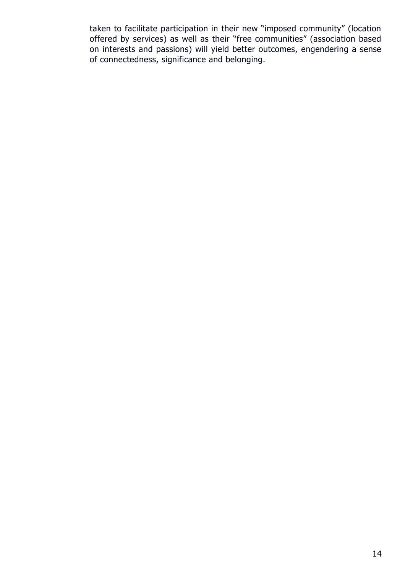taken to facilitate participation in their new "imposed community" (location offered by services) as well as their "free communities" (association based on interests and passions) will yield better outcomes, engendering a sense of connectedness, significance and belonging.